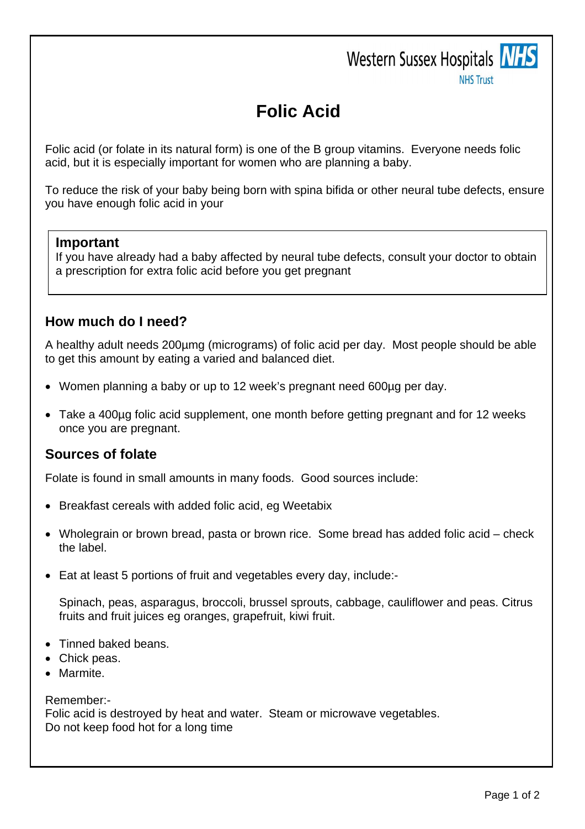# Western Sussex Hospitals NHS



**NHS Trust** 

# **Folic Acid**

Folic acid (or folate in its natural form) is one of the B group vitamins. Everyone needs folic acid, but it is especially important for women who are planning a baby.

To reduce the risk of your baby being born with spina bifida or other neural tube defects, ensure you have enough folic acid in your

#### **Important**

If you have already had a baby affected by neural tube defects, consult your doctor to obtain a prescription for extra folic acid before you get pregnant

# **How much do I need?**

A healthy adult needs 200µmg (micrograms) of folic acid per day. Most people should be able to get this amount by eating a varied and balanced diet.

- Women planning a baby or up to 12 week's pregnant need 600µg per day.
- Take a 400µg folic acid supplement, one month before getting pregnant and for 12 weeks once you are pregnant.

# **Sources of folate**

Folate is found in small amounts in many foods. Good sources include:

- Breakfast cereals with added folic acid, eg Weetabix
- Wholegrain or brown bread, pasta or brown rice. Some bread has added folic acid check the label.
- Eat at least 5 portions of fruit and vegetables every day, include:-

Spinach, peas, asparagus, broccoli, brussel sprouts, cabbage, cauliflower and peas. Citrus fruits and fruit juices eg oranges, grapefruit, kiwi fruit.

- Tinned baked beans.
- Chick peas.
- Marmite.

Remember:-

Folic acid is destroyed by heat and water. Steam or microwave vegetables. Do not keep food hot for a long time